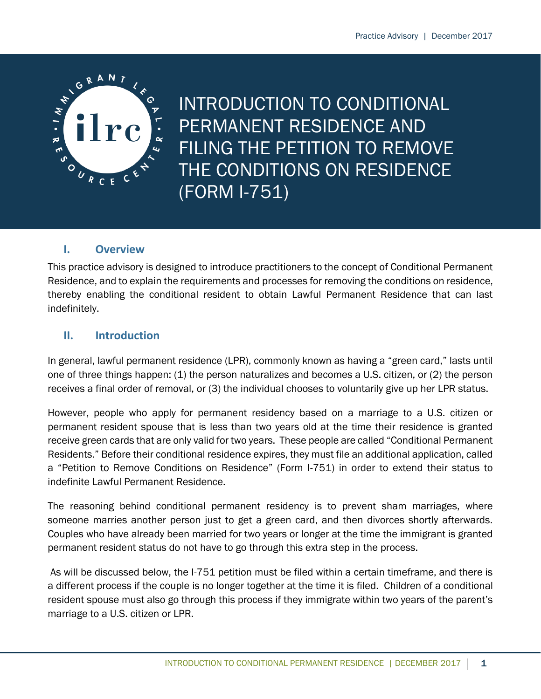

INTRODUCTION TO CONDITIONAL PERMANENT RESIDENCE AND FILING THE PETITION TO REMOVE THE CONDITIONS ON RESIDENCE (FORM I-751)

## **I. Overview**

This practice advisory is designed to introduce practitioners to the concept of Conditional Permanent Residence, and to explain the requirements and processes for removing the conditions on residence, thereby enabling the conditional resident to obtain Lawful Permanent Residence that can last indefinitely.

## **II. Introduction**

In general, lawful permanent residence (LPR), commonly known as having a "green card," lasts until one of three things happen: (1) the person naturalizes and becomes a U.S. citizen, or (2) the person receives a final order of removal, or (3) the individual chooses to voluntarily give up her LPR status.

However, people who apply for permanent residency based on a marriage to a U.S. citizen or permanent resident spouse that is less than two years old at the time their residence is granted receive green cards that are only valid for two years. These people are called "Conditional Permanent Residents." Before their conditional residence expires, they must file an additional application, called a "Petition to Remove Conditions on Residence" (Form I-751) in order to extend their status to indefinite Lawful Permanent Residence.

The reasoning behind conditional permanent residency is to prevent sham marriages, where someone marries another person just to get a green card, and then divorces shortly afterwards. Couples who have already been married for two years or longer at the time the immigrant is granted permanent resident status do not have to go through this extra step in the process.

As will be discussed below, the I-751 petition must be filed within a certain timeframe, and there is a different process if the couple is no longer together at the time it is filed. Children of a conditional resident spouse must also go through this process if they immigrate within two years of the parent's marriage to a U.S. citizen or LPR.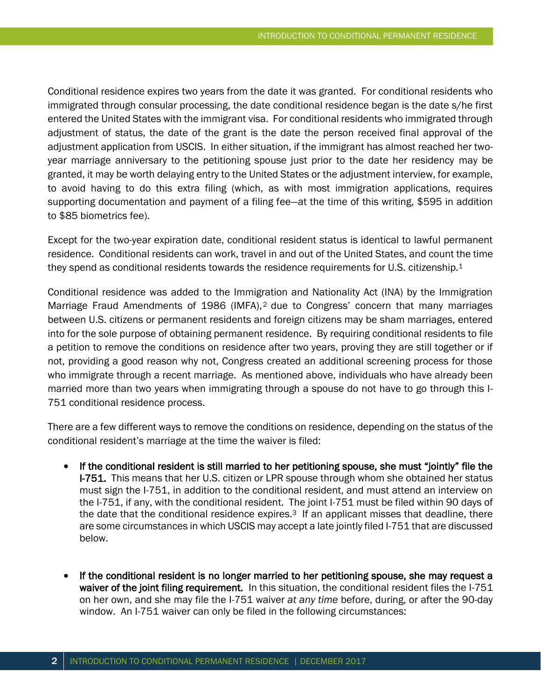Conditional residence expires two years from the date it was granted. For conditional residents who immigrated through consular processing, the date conditional residence began is the date s/he first entered the United States with the immigrant visa. For conditional residents who immigrated through adjustment of status, the date of the grant is the date the person received final approval of the adjustment application from USCIS. In either situation, if the immigrant has almost reached her twoyear marriage anniversary to the petitioning spouse just prior to the date her residency may be granted, it may be worth delaying entry to the United States or the adjustment interview, for example, to avoid having to do this extra filing (which, as with most immigration applications, requires supporting documentation and payment of a filing fee—at the time of this writing, \$595 in addition to \$85 biometrics fee).

Except for the two-year expiration date, conditional resident status is identical to lawful permanent residence. Conditional residents can work, travel in and out of the United States, and count the time they spend as conditional residents towards the residence requirements for U.S. citizenship.<sup>1</sup>

Conditional residence was added to the Immigration and Nationality Act (INA) by the Immigration Marriage Fraud Amendments of 1986 (IMFA),<sup>2</sup> due to Congress' concern that many marriages between U.S. citizens or permanent residents and foreign citizens may be sham marriages, entered into for the sole purpose of obtaining permanent residence. By requiring conditional residents to file a petition to remove the conditions on residence after two years, proving they are still together or if not, providing a good reason why not, Congress created an additional screening process for those who immigrate through a recent marriage. As mentioned above, individuals who have already been married more than two years when immigrating through a spouse do not have to go through this I-751 conditional residence process.

There are a few different ways to remove the conditions on residence, depending on the status of the conditional resident's marriage at the time the waiver is filed:

- If the conditional resident is still married to her petitioning spouse, she must "jointly" file the **I-751.** This means that her U.S. citizen or LPR spouse through whom she obtained her status must sign the I-751, in addition to the conditional resident, and must attend an interview on the I-751, if any, with the conditional resident. The joint I-751 must be filed within 90 days of the date that the conditional residence expires. $3$  If an applicant misses that deadline, there are some circumstances in which USCIS may accept a late jointly filed I-751 that are discussed below.
- If the conditional resident is no longer married to her petitioning spouse, she may request a waiver of the joint filing requirement. In this situation, the conditional resident files the I-751 on her own, and she may file the I-751 waiver *at any time* before, during, or after the 90-day window. An I-751 waiver can only be filed in the following circumstances: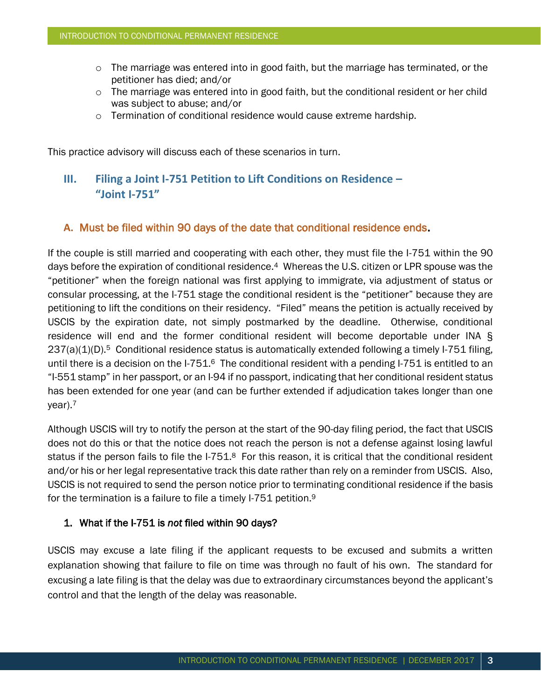- $\circ$  The marriage was entered into in good faith, but the marriage has terminated, or the petitioner has died; and/or
- o The marriage was entered into in good faith, but the conditional resident or her child was subject to abuse; and/or
- o Termination of conditional residence would cause extreme hardship.

This practice advisory will discuss each of these scenarios in turn.

## **III. Filing a Joint I-751 Petition to Lift Conditions on Residence – "Joint I-751"**

## **A.** Must be filed within 90 days of the date that conditional residence ends.

If the couple is still married and cooperating with each other, they must file the I-751 within the 90 days before the expiration of conditional residence.<sup>4</sup> Whereas the U.S. citizen or LPR spouse was the "petitioner" when the foreign national was first applying to immigrate, via adjustment of status or consular processing, at the I-751 stage the conditional resident is the "petitioner" because they are petitioning to lift the conditions on their residency. "Filed" means the petition is actually received by USCIS by the expiration date, not simply postmarked by the deadline. Otherwise, conditional residence will end and the former conditional resident will become deportable under INA §  $237(a)(1)(D)$ .<sup>5</sup> Conditional residence status is automatically extended following a timely I-751 filing, until there is a decision on the I-751.<sup>6</sup> The conditional resident with a pending I-751 is entitled to an "I-551 stamp" in her passport, or an I-94 if no passport, indicating that her conditional resident status has been extended for one year (and can be further extended if adjudication takes longer than one year).<sup>7</sup>

Although USCIS will try to notify the person at the start of the 90-day filing period, the fact that USCIS does not do this or that the notice does not reach the person is not a defense against losing lawful status if the person fails to file the I-751.<sup>8</sup> For this reason, it is critical that the conditional resident and/or his or her legal representative track this date rather than rely on a reminder from USCIS. Also, USCIS is not required to send the person notice prior to terminating conditional residence if the basis for the termination is a failure to file a timely I-751 petition.<sup>9</sup>

## 1. What if the I-751 is *not* filed within 90 days?

USCIS may excuse a late filing if the applicant requests to be excused and submits a written explanation showing that failure to file on time was through no fault of his own. The standard for excusing a late filing is that the delay was due to extraordinary circumstances beyond the applicant's control and that the length of the delay was reasonable.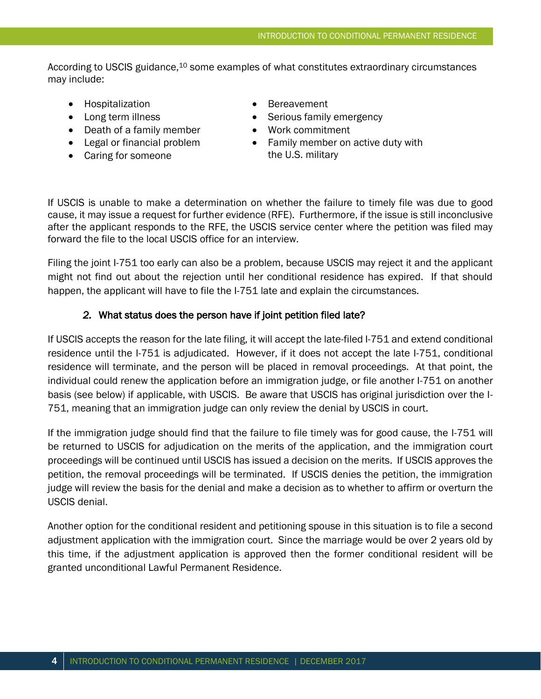According to USCIS guidance,<sup>10</sup> some examples of what constitutes extraordinary circumstances may include:

- **•** Hospitalization
- Long term illness
- Death of a family member
- Legal or financial problem
- Caring for someone
- Bereavement
- Serious family emergency
- Work commitment
- Family member on active duty with the U.S. military

If USCIS is unable to make a determination on whether the failure to timely file was due to good cause, it may issue a request for further evidence (RFE). Furthermore, if the issue is still inconclusive after the applicant responds to the RFE, the USCIS service center where the petition was filed may forward the file to the local USCIS office for an interview.

Filing the joint I-751 too early can also be a problem, because USCIS may reject it and the applicant might not find out about the rejection until her conditional residence has expired. If that should happen, the applicant will have to file the I-751 late and explain the circumstances.

## *2.* What status does the person have if joint petition filed late?

If USCIS accepts the reason for the late filing, it will accept the late-filed I-751 and extend conditional residence until the I-751 is adjudicated. However, if it does not accept the late I-751, conditional residence will terminate, and the person will be placed in removal proceedings. At that point, the individual could renew the application before an immigration judge, or file another I-751 on another basis (see below) if applicable, with USCIS. Be aware that USCIS has original jurisdiction over the I-751, meaning that an immigration judge can only review the denial by USCIS in court.

If the immigration judge should find that the failure to file timely was for good cause, the I-751 will be returned to USCIS for adjudication on the merits of the application, and the immigration court proceedings will be continued until USCIS has issued a decision on the merits. If USCIS approves the petition, the removal proceedings will be terminated. If USCIS denies the petition, the immigration judge will review the basis for the denial and make a decision as to whether to affirm or overturn the USCIS denial.

Another option for the conditional resident and petitioning spouse in this situation is to file a second adjustment application with the immigration court. Since the marriage would be over 2 years old by this time, if the adjustment application is approved then the former conditional resident will be granted unconditional Lawful Permanent Residence.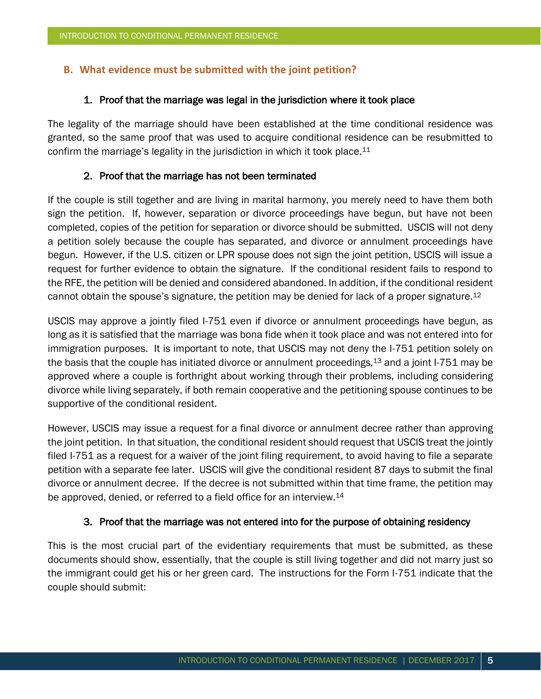## **B. What evidence must be submitted with the joint petition?**

## 1. Proof that the marriage was legal in the jurisdiction where it took place

The legality of the marriage should have been established at the time conditional residence was granted, so the same proof that was used to acquire conditional residence can be resubmitted to confirm the marriage's legality in the jurisdiction in which it took place.<sup>11</sup>

## 2. Proof that the marriage has not been terminated

If the couple is still together and are living in marital harmony, you merely need to have them both sign the petition. If, however, separation or divorce proceedings have begun, but have not been completed, copies of the petition for separation or divorce should be submitted. USCIS will not deny a petition solely because the couple has separated, and divorce or annulment proceedings have begun. However, if the U.S. citizen or LPR spouse does not sign the joint petition, USCIS will issue a request for further evidence to obtain the signature. If the conditional resident fails to respond to the RFE, the petition will be denied and considered abandoned. In addition, if the conditional resident cannot obtain the spouse's signature, the petition may be denied for lack of a proper signature.<sup>12</sup>

USCIS may approve a jointly filed I-751 even if divorce or annulment proceedings have begun, as long as it is satisfied that the marriage was bona fide when it took place and was not entered into for immigration purposes. It is important to note, that USCIS may not deny the I-751 petition solely on the basis that the couple has initiated divorce or annulment proceedings, <sup>13</sup> and a joint I-751 may be approved where a couple is forthright about working through their problems, including considering divorce while living separately, if both remain cooperative and the petitioning spouse continues to be supportive of the conditional resident.

However, USCIS may issue a request for a final divorce or annulment decree rather than approving the joint petition. In that situation, the conditional resident should request that USCIS treat the jointly filed I-751 as a request for a waiver of the joint filing requirement, to avoid having to file a separate petition with a separate fee later. USCIS will give the conditional resident 87 days to submit the final divorce or annulment decree. If the decree is not submitted within that time frame, the petition may be approved, denied, or referred to a field office for an interview.<sup>14</sup>

## 3. Proof that the marriage was not entered into for the purpose of obtaining residency

This is the most crucial part of the evidentiary requirements that must be submitted, as these documents should show, essentially, that the couple is still living together and did not marry just so the immigrant could get his or her green card. The instructions for the Form I-751 indicate that the couple should submit: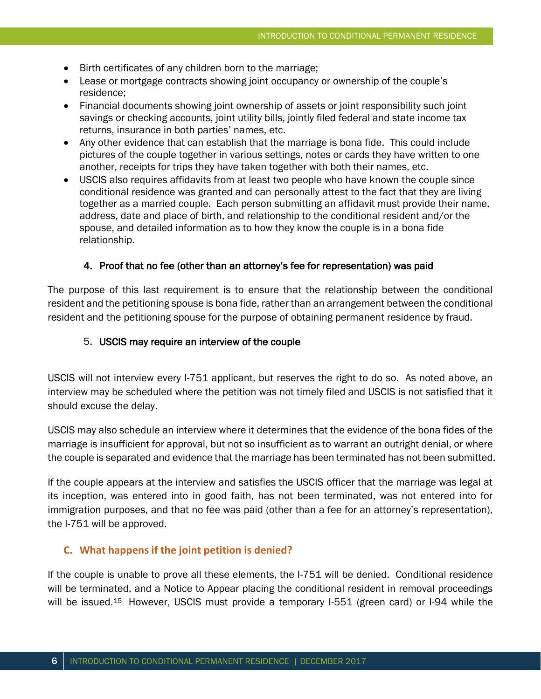- Birth certificates of any children born to the marriage;
- Lease or mortgage contracts showing joint occupancy or ownership of the couple's residence;
- Financial documents showing joint ownership of assets or joint responsibility such joint savings or checking accounts, joint utility bills, jointly filed federal and state income tax returns, insurance in both parties' names, etc.
- Any other evidence that can establish that the marriage is bona fide. This could include pictures of the couple together in various settings, notes or cards they have written to one another, receipts for trips they have taken together with both their names, etc.
- USCIS also requires affidavits from at least two people who have known the couple since conditional residence was granted and can personally attest to the fact that they are living together as a married couple. Each person submitting an affidavit must provide their name, address, date and place of birth, and relationship to the conditional resident and/or the spouse, and detailed information as to how they know the couple is in a bona fide relationship.

## 4. Proof that no fee (other than an attorney's fee for representation) was paid

The purpose of this last requirement is to ensure that the relationship between the conditional resident and the petitioning spouse is bona fide, rather than an arrangement between the conditional resident and the petitioning spouse for the purpose of obtaining permanent residence by fraud.

## 5. USCIS may require an interview of the couple

USCIS will not interview every I-751 applicant, but reserves the right to do so. As noted above, an interview may be scheduled where the petition was not timely filed and USCIS is not satisfied that it should excuse the delay.

USCIS may also schedule an interview where it determines that the evidence of the bona fides of the marriage is insufficient for approval, but not so insufficient as to warrant an outright denial, or where the couple is separated and evidence that the marriage has been terminated has not been submitted.

If the couple appears at the interview and satisfies the USCIS officer that the marriage was legal at its inception, was entered into in good faith, has not been terminated, was not entered into for immigration purposes, and that no fee was paid (other than a fee for an attorney's representation), the I-751 will be approved.

## **C. What happens if the joint petition is denied?**

If the couple is unable to prove all these elements, the I-751 will be denied. Conditional residence will be terminated, and a Notice to Appear placing the conditional resident in removal proceedings will be issued.<sup>15</sup> However, USCIS must provide a temporary  $1-551$  (green card) or  $1-94$  while the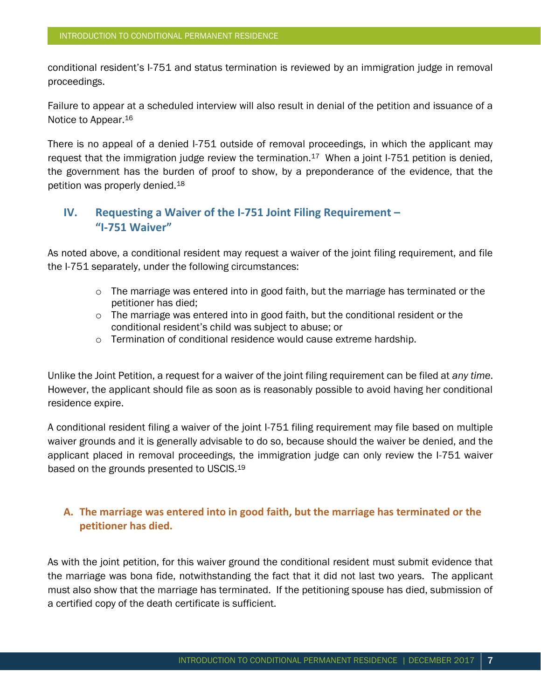conditional resident's I-751 and status termination is reviewed by an immigration judge in removal proceedings.

Failure to appear at a scheduled interview will also result in denial of the petition and issuance of a Notice to Appear.<sup>16</sup>

There is no appeal of a denied I-751 outside of removal proceedings, in which the applicant may request that the immigration judge review the termination.<sup>17</sup> When a joint I-751 petition is denied, the government has the burden of proof to show, by a preponderance of the evidence, that the petition was properly denied.<sup>18</sup>

# **IV. Requesting a Waiver of the I-751 Joint Filing Requirement – "I-751 Waiver"**

As noted above, a conditional resident may request a waiver of the joint filing requirement, and file the I-751 separately, under the following circumstances:

- $\circ$  The marriage was entered into in good faith, but the marriage has terminated or the petitioner has died;
- o The marriage was entered into in good faith, but the conditional resident or the conditional resident's child was subject to abuse; or
- o Termination of conditional residence would cause extreme hardship.

Unlike the Joint Petition, a request for a waiver of the joint filing requirement can be filed at *any time*. However, the applicant should file as soon as is reasonably possible to avoid having her conditional residence expire.

A conditional resident filing a waiver of the joint I-751 filing requirement may file based on multiple waiver grounds and it is generally advisable to do so, because should the waiver be denied, and the applicant placed in removal proceedings, the immigration judge can only review the I-751 waiver based on the grounds presented to USCIS.<sup>19</sup>

## **A. The marriage was entered into in good faith, but the marriage has terminated or the petitioner has died.**

As with the joint petition, for this waiver ground the conditional resident must submit evidence that the marriage was bona fide, notwithstanding the fact that it did not last two years. The applicant must also show that the marriage has terminated. If the petitioning spouse has died, submission of a certified copy of the death certificate is sufficient.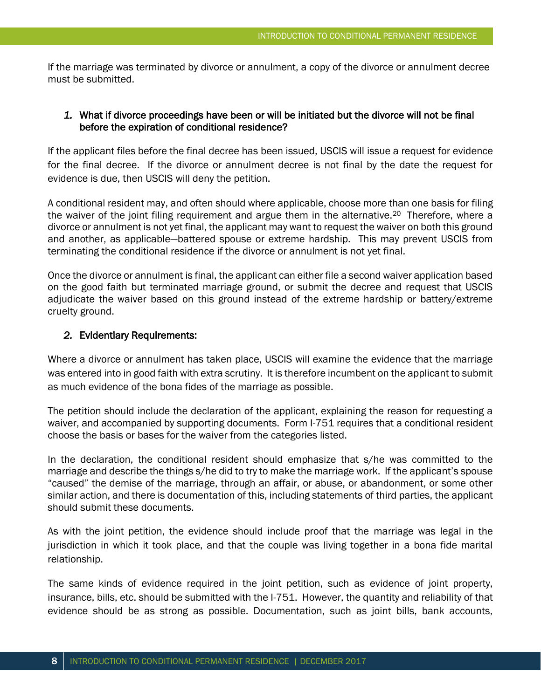If the marriage was terminated by divorce or annulment, a copy of the divorce or annulment decree must be submitted.

## *1.* What if divorce proceedings have been or will be initiated but the divorce will not be final before the expiration of conditional residence?

If the applicant files before the final decree has been issued, USCIS will issue a request for evidence for the final decree. If the divorce or annulment decree is not final by the date the request for evidence is due, then USCIS will deny the petition.

A conditional resident may, and often should where applicable, choose more than one basis for filing the waiver of the joint filing requirement and argue them in the alternative.<sup>20</sup> Therefore, where a divorce or annulment is not yet final, the applicant may want to request the waiver on both this ground and another, as applicable—battered spouse or extreme hardship. This may prevent USCIS from terminating the conditional residence if the divorce or annulment is not yet final.

Once the divorce or annulment is final, the applicant can either file a second waiver application based on the good faith but terminated marriage ground, or submit the decree and request that USCIS adjudicate the waiver based on this ground instead of the extreme hardship or battery/extreme cruelty ground.

## *2.* Evidentiary Requirements:

Where a divorce or annulment has taken place, USCIS will examine the evidence that the marriage was entered into in good faith with extra scrutiny. It is therefore incumbent on the applicant to submit as much evidence of the bona fides of the marriage as possible.

The petition should include the declaration of the applicant, explaining the reason for requesting a waiver, and accompanied by supporting documents. Form I-751 requires that a conditional resident choose the basis or bases for the waiver from the categories listed.

In the declaration, the conditional resident should emphasize that s/he was committed to the marriage and describe the things s/he did to try to make the marriage work. If the applicant's spouse "caused" the demise of the marriage, through an affair, or abuse, or abandonment, or some other similar action, and there is documentation of this, including statements of third parties, the applicant should submit these documents.

As with the joint petition, the evidence should include proof that the marriage was legal in the jurisdiction in which it took place, and that the couple was living together in a bona fide marital relationship.

The same kinds of evidence required in the joint petition, such as evidence of joint property, insurance, bills, etc. should be submitted with the I-751. However, the quantity and reliability of that evidence should be as strong as possible. Documentation, such as joint bills, bank accounts,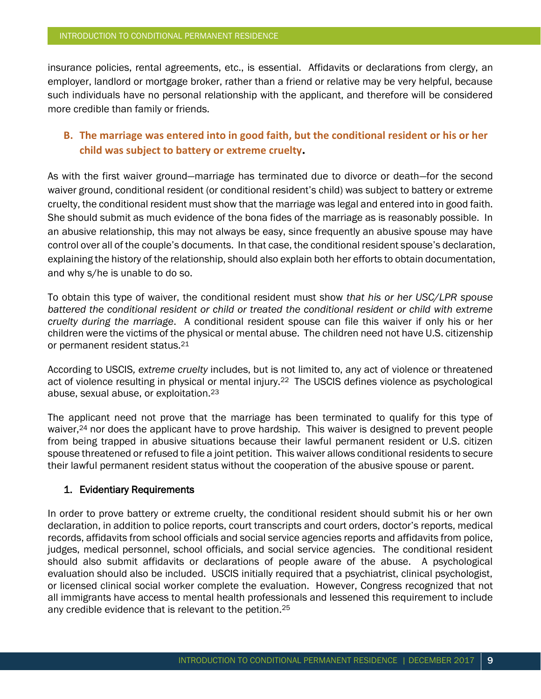insurance policies, rental agreements, etc., is essential. Affidavits or declarations from clergy, an employer, landlord or mortgage broker, rather than a friend or relative may be very helpful, because such individuals have no personal relationship with the applicant, and therefore will be considered more credible than family or friends.

## **B. The marriage was entered into in good faith, but the conditional resident or his or her child was subject to battery or extreme cruelty.**

As with the first waiver ground—marriage has terminated due to divorce or death—for the second waiver ground, conditional resident (or conditional resident's child) was subject to battery or extreme cruelty, the conditional resident must show that the marriage was legal and entered into in good faith. She should submit as much evidence of the bona fides of the marriage as is reasonably possible. In an abusive relationship, this may not always be easy, since frequently an abusive spouse may have control over all of the couple's documents. In that case, the conditional resident spouse's declaration, explaining the history of the relationship, should also explain both her efforts to obtain documentation, and why s/he is unable to do so.

To obtain this type of waiver, the conditional resident must show *that his or her USC/LPR spouse battered the conditional resident or child or treated the conditional resident or child with extreme cruelty during the marriage*. A conditional resident spouse can file this waiver if only his or her children were the victims of the physical or mental abuse. The children need not have U.S. citizenship or permanent resident status.<sup>21</sup>

According to USCIS*, extreme cruelty* includes, but is not limited to, any act of violence or threatened act of violence resulting in physical or mental injury.<sup>22</sup> The USCIS defines violence as psychological abuse, sexual abuse, or exploitation.<sup>23</sup>

The applicant need not prove that the marriage has been terminated to qualify for this type of waiver,<sup>24</sup> nor does the applicant have to prove hardship. This waiver is designed to prevent people from being trapped in abusive situations because their lawful permanent resident or U.S. citizen spouse threatened or refused to file a joint petition. This waiver allows conditional residents to secure their lawful permanent resident status without the cooperation of the abusive spouse or parent.

## 1. Evidentiary Requirements

In order to prove battery or extreme cruelty, the conditional resident should submit his or her own declaration, in addition to police reports, court transcripts and court orders, doctor's reports, medical records, affidavits from school officials and social service agencies reports and affidavits from police, judges, medical personnel, school officials, and social service agencies. The conditional resident should also submit affidavits or declarations of people aware of the abuse. A psychological evaluation should also be included. USCIS initially required that a psychiatrist, clinical psychologist, or licensed clinical social worker complete the evaluation. However, Congress recognized that not all immigrants have access to mental health professionals and lessened this requirement to include any credible evidence that is relevant to the petition.25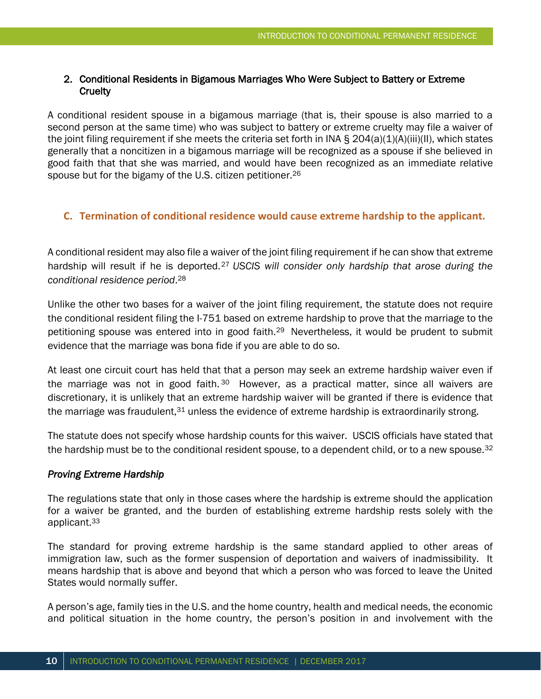## 2. Conditional Residents in Bigamous Marriages Who Were Subject to Battery or Extreme **Cruelty**

A conditional resident spouse in a bigamous marriage (that is, their spouse is also married to a second person at the same time) who was subject to battery or extreme cruelty may file a waiver of the joint filing requirement if she meets the criteria set forth in INA  $\S 204(a)(1)(A)(iii)(II)$ , which states generally that a noncitizen in a bigamous marriage will be recognized as a spouse if she believed in good faith that that she was married, and would have been recognized as an immediate relative spouse but for the bigamy of the U.S. citizen petitioner.<sup>26</sup>

## **C. Termination of conditional residence would cause extreme hardship to the applicant.**

A conditional resident may also file a waiver of the joint filing requirement if he can show that extreme hardship will result if he is deported.<sup>27</sup> *USCIS will consider only hardship that arose during the conditional residence period*. 28

Unlike the other two bases for a waiver of the joint filing requirement, the statute does not require the conditional resident filing the I-751 based on extreme hardship to prove that the marriage to the petitioning spouse was entered into in good faith.29 Nevertheless, it would be prudent to submit evidence that the marriage was bona fide if you are able to do so.

At least one circuit court has held that that a person may seek an extreme hardship waiver even if the marriage was not in good faith.  $30$  However, as a practical matter, since all waivers are discretionary, it is unlikely that an extreme hardship waiver will be granted if there is evidence that the marriage was fraudulent, $31$  unless the evidence of extreme hardship is extraordinarily strong.

The statute does not specify whose hardship counts for this waiver. USCIS officials have stated that the hardship must be to the conditional resident spouse, to a dependent child, or to a new spouse.<sup>32</sup>

#### *Proving Extreme Hardship*

The regulations state that only in those cases where the hardship is extreme should the application for a waiver be granted, and the burden of establishing extreme hardship rests solely with the applicant.<sup>33</sup>

The standard for proving extreme hardship is the same standard applied to other areas of immigration law, such as the former suspension of deportation and waivers of inadmissibility. It means hardship that is above and beyond that which a person who was forced to leave the United States would normally suffer.

A person's age, family ties in the U.S. and the home country, health and medical needs, the economic and political situation in the home country, the person's position in and involvement with the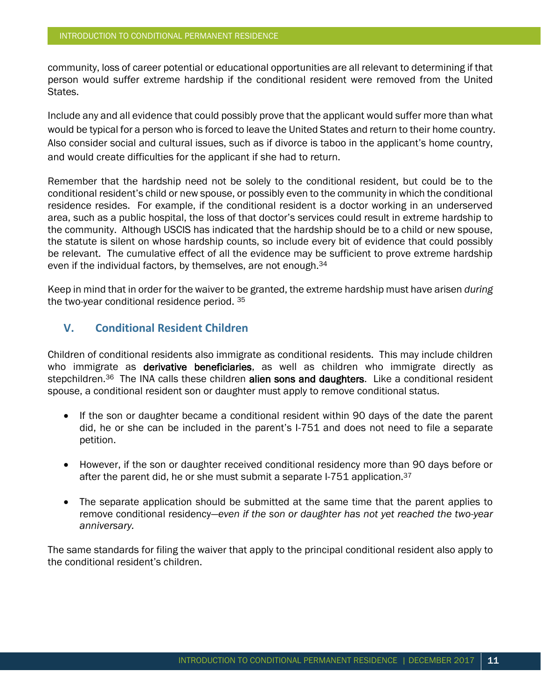community, loss of career potential or educational opportunities are all relevant to determining if that person would suffer extreme hardship if the conditional resident were removed from the United States.

Include any and all evidence that could possibly prove that the applicant would suffer more than what would be typical for a person who is forced to leave the United States and return to their home country. Also consider social and cultural issues, such as if divorce is taboo in the applicant's home country, and would create difficulties for the applicant if she had to return.

Remember that the hardship need not be solely to the conditional resident, but could be to the conditional resident's child or new spouse, or possibly even to the community in which the conditional residence resides. For example, if the conditional resident is a doctor working in an underserved area, such as a public hospital, the loss of that doctor's services could result in extreme hardship to the community. Although USCIS has indicated that the hardship should be to a child or new spouse, the statute is silent on whose hardship counts, so include every bit of evidence that could possibly be relevant. The cumulative effect of all the evidence may be sufficient to prove extreme hardship even if the individual factors, by themselves, are not enough.<sup>34</sup>

Keep in mind that in order for the waiver to be granted, the extreme hardship must have arisen *during* the two-year conditional residence period. <sup>35</sup>

## **V. Conditional Resident Children**

Children of conditional residents also immigrate as conditional residents. This may include children who immigrate as derivative beneficiaries, as well as children who immigrate directly as stepchildren.<sup>36</sup> The INA calls these children alien sons and daughters. Like a conditional resident spouse, a conditional resident son or daughter must apply to remove conditional status.

- If the son or daughter became a conditional resident within 90 days of the date the parent did, he or she can be included in the parent's I-751 and does not need to file a separate petition.
- However, if the son or daughter received conditional residency more than 90 days before or after the parent did, he or she must submit a separate I-751 application.<sup>37</sup>
- The separate application should be submitted at the same time that the parent applies to remove conditional residency—*even if the son or daughter has not yet reached the two-year anniversary.*

The same standards for filing the waiver that apply to the principal conditional resident also apply to the conditional resident's children.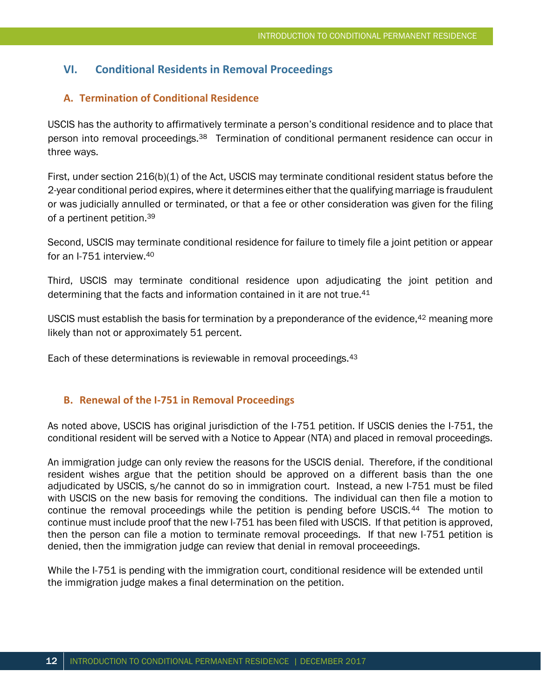## **VI. Conditional Residents in Removal Proceedings**

## **A. Termination of Conditional Residence**

USCIS has the authority to affirmatively terminate a person's conditional residence and to place that person into removal proceedings.<sup>38</sup> Termination of conditional permanent residence can occur in three ways.

First, under section 216(b)(1) of the Act, USCIS may terminate conditional resident status before the 2-year conditional period expires, where it determines either that the qualifying marriage is fraudulent or was judicially annulled or terminated, or that a fee or other consideration was given for the filing of a pertinent petition.<sup>39</sup>

Second, USCIS may terminate conditional residence for failure to timely file a joint petition or appear for an I-751 interview.<sup>40</sup>

Third, USCIS may terminate conditional residence upon adjudicating the joint petition and determining that the facts and information contained in it are not true.<sup>41</sup>

USCIS must establish the basis for termination by a preponderance of the evidence, $42$  meaning more likely than not or approximately 51 percent.

Each of these determinations is reviewable in removal proceedings.<sup>43</sup>

## **B. Renewal of the I-751 in Removal Proceedings**

As noted above, USCIS has original jurisdiction of the I-751 petition. If USCIS denies the I-751, the conditional resident will be served with a Notice to Appear (NTA) and placed in removal proceedings.

An immigration judge can only review the reasons for the USCIS denial. Therefore, if the conditional resident wishes argue that the petition should be approved on a different basis than the one adjudicated by USCIS, s/he cannot do so in immigration court. Instead, a new I-751 must be filed with USCIS on the new basis for removing the conditions. The individual can then file a motion to continue the removal proceedings while the petition is pending before USCIS.<sup>44</sup> The motion to continue must include proof that the new I-751 has been filed with USCIS. If that petition is approved, then the person can file a motion to terminate removal proceedings. If that new I-751 petition is denied, then the immigration judge can review that denial in removal proceeedings.

While the I-751 is pending with the immigration court, conditional residence will be extended until the immigration judge makes a final determination on the petition.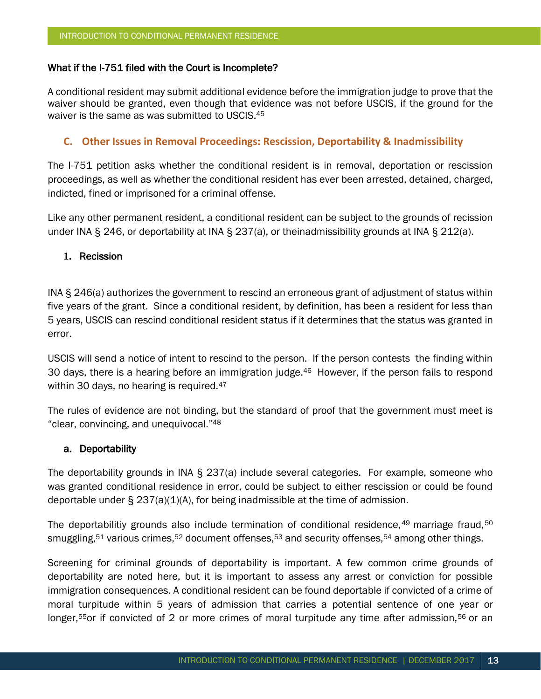### What if the I-751 filed with the Court is Incomplete?

A conditional resident may submit additional evidence before the immigration judge to prove that the waiver should be granted, even though that evidence was not before USCIS, if the ground for the waiver is the same as was submitted to USCIS.<sup>45</sup>

## **C. Other Issues in Removal Proceedings: Rescission, Deportability & Inadmissibility**

The I-751 petition asks whether the conditional resident is in removal, deportation or rescission proceedings, as well as whether the conditional resident has ever been arrested, detained, charged, indicted, fined or imprisoned for a criminal offense.

Like any other permanent resident, a conditional resident can be subject to the grounds of recission under INA § 246, or deportability at INA § 237(a), or theinadmissibility grounds at INA § 212(a).

#### **1.** Recission

INA § 246(a) authorizes the government to rescind an erroneous grant of adjustment of status within five years of the grant. Since a conditional resident, by definition, has been a resident for less than 5 years, USCIS can rescind conditional resident status if it determines that the status was granted in error.

USCIS will send a notice of intent to rescind to the person. If the person contests the finding within 30 days, there is a hearing before an immigration judge.<sup>46</sup> However, if the person fails to respond within 30 days, no hearing is required.<sup>47</sup>

The rules of evidence are not binding, but the standard of proof that the government must meet is "clear, convincing, and unequivocal."<sup>48</sup>

#### a. Deportability

The deportability grounds in INA § 237(a) include several categories. For example, someone who was granted conditional residence in error, could be subject to either rescission or could be found deportable under  $\S 237(a)(1)(A)$ , for being inadmissible at the time of admission.

The deportabilitiy grounds also include termination of conditional residence, <sup>49</sup> marriage fraud, <sup>50</sup> smuggling,<sup>51</sup> various crimes,<sup>52</sup> document offenses,<sup>53</sup> and security offenses,<sup>54</sup> among other things.

Screening for criminal grounds of deportability is important. A few common crime grounds of deportability are noted here, but it is important to assess any arrest or conviction for possible immigration consequences. A conditional resident can be found deportable if convicted of a crime of moral turpitude within 5 years of admission that carries a potential sentence of one year or longer,<sup>55</sup>or if convicted of 2 or more crimes of moral turpitude any time after admission,<sup>56</sup> or an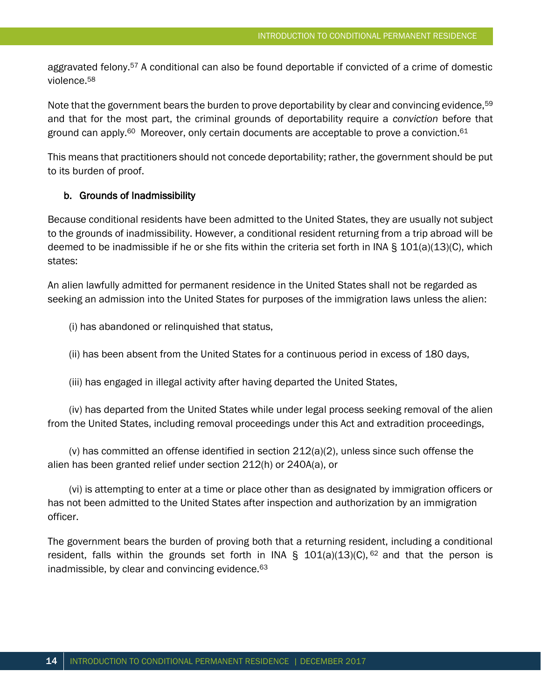aggravated felony.<sup>57</sup> A conditional can also be found deportable if convicted of a crime of domestic violence.<sup>58</sup>

Note that the government bears the burden to prove deportability by clear and convincing evidence,<sup>59</sup> and that for the most part, the criminal grounds of deportability require a *conviction* before that ground can apply.<sup>60</sup> Moreover, only certain documents are acceptable to prove a conviction.<sup>61</sup>

This means that practitioners should not concede deportability; rather, the government should be put to its burden of proof.

## b. Grounds of Inadmissibility

Because conditional residents have been admitted to the United States, they are usually not subject to the grounds of inadmissibility. However, a conditional resident returning from a trip abroad will be deemed to be inadmissible if he or she fits within the criteria set forth in INA § 101(a)(13)(C), which states:

An alien lawfully admitted for permanent residence in the United States shall not be regarded as seeking an admission into the United States for purposes of the immigration laws unless the alien:

(i) has abandoned or relinquished that status,

(ii) has been absent from the United States for a continuous period in excess of 180 days,

(iii) has engaged in illegal activity after having departed the United States,

(iv) has departed from the United States while under legal process seeking removal of the alien from the United States, including removal proceedings under this Act and extradition proceedings,

(v) has committed an offense identified in section 212(a)(2), unless since such offense the alien has been granted relief under section 212(h) or 240A(a), or

 (vi) is attempting to enter at a time or place other than as designated by immigration officers or has not been admitted to the United States after inspection and authorization by an immigration officer.

The government bears the burden of proving both that a returning resident, including a conditional resident, falls within the grounds set forth in INA §  $101(a)(13)(C)$ , <sup>62</sup> and that the person is inadmissible, by clear and convincing evidence.<sup>63</sup>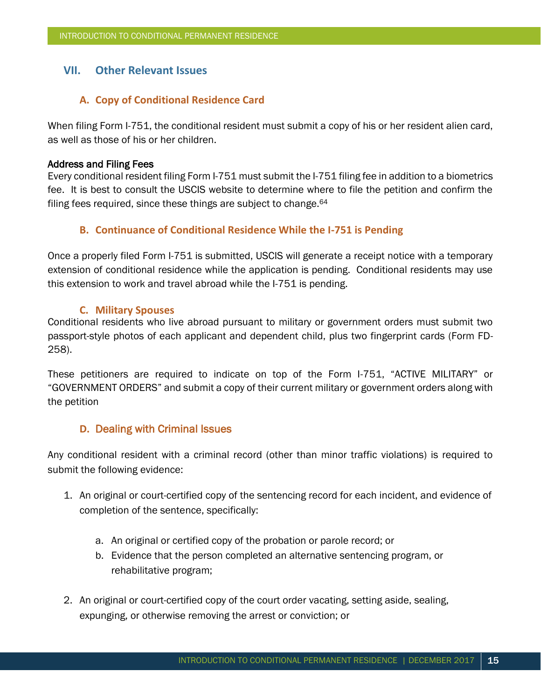## **VII. Other Relevant Issues**

## **A. Copy of Conditional Residence Card**

When filing Form I-751, the conditional resident must submit a copy of his or her resident alien card, as well as those of his or her children.

#### Address and Filing Fees

Every conditional resident filing Form I-751 must submit the I-751 filing fee in addition to a biometrics fee. It is best to consult the USCIS website to determine where to file the petition and confirm the filing fees required, since these things are subject to change.<sup>64</sup>

## **B. Continuance of Conditional Residence While the I-751 is Pending**

Once a properly filed Form I-751 is submitted, USCIS will generate a receipt notice with a temporary extension of conditional residence while the application is pending. Conditional residents may use this extension to work and travel abroad while the I-751 is pending.

#### **C. Military Spouses**

Conditional residents who live abroad pursuant to military or government orders must submit two passport-style photos of each applicant and dependent child, plus two fingerprint cards (Form FD-258).

These petitioners are required to indicate on top of the Form I-751, "ACTIVE MILITARY" or "GOVERNMENT ORDERS" and submit a copy of their current military or government orders along with the petition

## **D.** Dealing with Criminal Issues

Any conditional resident with a criminal record (other than minor traffic violations) is required to submit the following evidence:

- 1. An original or court-certified copy of the sentencing record for each incident, and evidence of completion of the sentence, specifically:
	- a. An original or certified copy of the probation or parole record; or
	- b. Evidence that the person completed an alternative sentencing program, or rehabilitative program;
- 2. An original or court-certified copy of the court order vacating, setting aside, sealing, expunging, or otherwise removing the arrest or conviction; or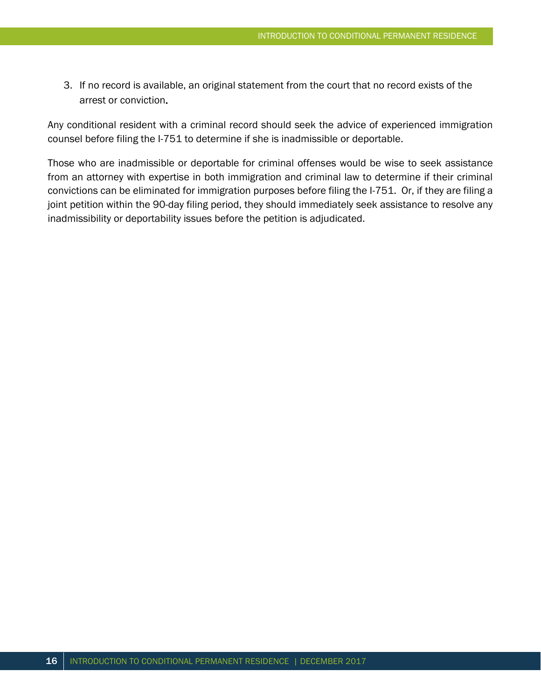3. If no record is available, an original statement from the court that no record exists of the arrest or conviction.

Any conditional resident with a criminal record should seek the advice of experienced immigration counsel before filing the I-751 to determine if she is inadmissible or deportable.

Those who are inadmissible or deportable for criminal offenses would be wise to seek assistance from an attorney with expertise in both immigration and criminal law to determine if their criminal convictions can be eliminated for immigration purposes before filing the I-751. Or, if they are filing a joint petition within the 90-day filing period, they should immediately seek assistance to resolve any inadmissibility or deportability issues before the petition is adjudicated.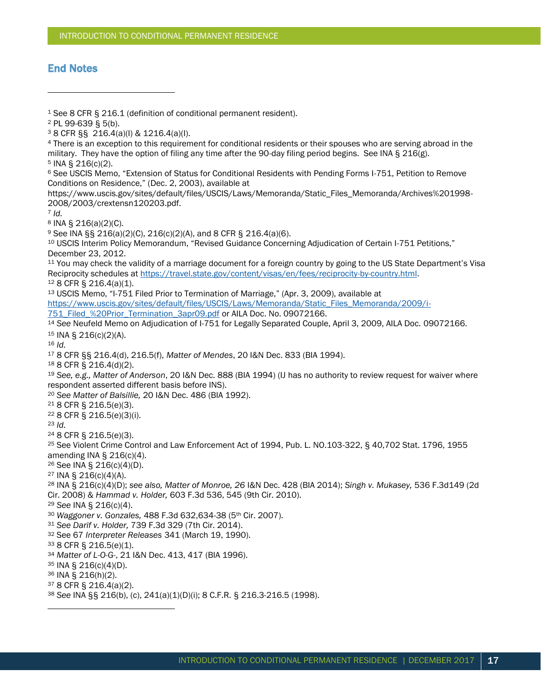## **End Notes**

 $\overline{a}$ 

- 8 CFR §§ 216.4(a)(I) & 1216.4(a)(I).
- There is an exception to this requirement for conditional residents or their spouses who are serving abroad in the military. They have the option of filing any time after the 90-day filing period begins. See INA § 216(g). INA & 216(c)(2).
- See USCIS Memo, "Extension of Status for Conditional Residents with Pending Forms I-751, Petition to Remove Conditions on Residence," (Dec. 2, 2003), available at
- https://www.uscis.gov/sites/default/files/USCIS/Laws/Memoranda/Static\_Files\_Memoranda/Archives%201998- 2008/2003/crextensn120203.pdf.

*Id.*

- INA § 216(a)(2)(C).
- See INA §§ 216(a)(2)(C), 216(c)(2)(A), and 8 CFR § 216.4(a)(6).
- USCIS Interim Policy Memorandum, "Revised Guidance Concerning Adjudication of Certain I-751 Petitions," December 23, 2012.
- You may check the validity of a marriage document for a foreign country by going to the US State Department's Visa Reciprocity schedules at [https://travel.state.gov/content/visas/en/fees/reciprocity-by-country.html.](https://travel.state.gov/content/visas/en/fees/reciprocity-by-country.html)

8 CFR § 216.4(a)(1).

USCIS Memo, "I-751 Filed Prior to Termination of Marriage," (Apr. 3, 2009), available at

[https://www.uscis.gov/sites/default/files/USCIS/Laws/Memoranda/Static\\_Files\\_Memoranda/2009/i-](https://www.uscis.gov/sites/default/files/USCIS/Laws/Memoranda/Static_Files_Memoranda/2009/i-751_Filed_%20Prior_Termination_3apr09.pdf)

[751\\_Filed\\_%20Prior\\_Termination\\_3apr09.pdf](https://www.uscis.gov/sites/default/files/USCIS/Laws/Memoranda/Static_Files_Memoranda/2009/i-751_Filed_%20Prior_Termination_3apr09.pdf) or AILA Doc. No. 09072166.

 *See* Neufeld Memo on Adjudication of I-751 for Legally Separated Couple, April 3, 2009, AILA Doc. 09072166. INA § 216(c)(2)(A).

*Id.*

- 8 CFR §§ 216.4(d), 216.5(f), *Matter of Mendes*, 20 I&N Dec. 833 (BIA 1994).
- 8 CFR § 216.4(d)(2).
- *See, e.g., Matter of Anderson*, 20 I&N Dec. 888 (BIA 1994) (IJ has no authority to review request for waiver where respondent asserted different basis before INS).
- *See Matter of Balsillie,* 20 I&N Dec. 486 (BIA 1992).
- 8 CFR § 216.5(e)(3).
- 8 CFR § 216.5(e)(3)(i).

*Id.*

8 CFR § 216.5(e)(3).

 See Violent Crime Control and Law Enforcement Act of 1994, Pub. L. NO.103-322, § 40,702 Stat. 1796, 1955 amending INA § 216(c)(4).

See INA § 216(c)(4)(D).

INA § 216(c)(4)(A).

 INA § 216(c)(4)(D); *see also, Matter of Monroe, 26* I&N Dec. 428 (BIA 2014); *Singh v. Mukasey,* 536 F.3d149 (2d Cir. 2008) & *Hammad v. Holder,* 603 F.3d 536, 545 (9th Cir. 2010).

*See* INA § 216(c)(4).

*Waggoner v. Gonzales,* 488 F.3d 632,634-38 (5th Cir. 2007).

- *See Darif v. Holder,* 739 F.3d 329 (7th Cir. 2014).
- See 67 *Interpreter Releases* 341 (March 19, 1990).
- 8 CFR § 216.5(e)(1).
- *Matter of L-O-G-*, 21 I&N Dec. 413, 417 (BIA 1996).
- INA § 216(c)(4)(D).
- INA § 216(h)(2).

l

- 8 CFR § 216.4(a)(2).
- *See* INA §§ 216(b), (c), 241(a)(1)(D)(i); 8 C.F.R. § 216.3-216.5 (1998).

See 8 CFR § 216.1 (definition of conditional permanent resident).

PL 99-639 § 5(b).